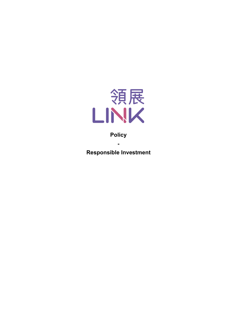

# **Policy**

**-**

**Responsible Investment**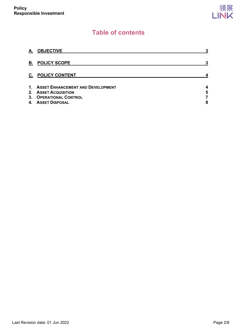# **Table of contents**

| А. | <b>OBJECTIVE</b>                                                                                                | 3           |
|----|-----------------------------------------------------------------------------------------------------------------|-------------|
| В. | <b>POLICY SCOPE</b>                                                                                             | 3           |
| C. | <b>POLICY CONTENT</b>                                                                                           |             |
| 4. | 1. ASSET ENHANCEMENT AND DEVELOPMENT<br>2. ASSET ACQUISITION<br>3. OPERATIONAL CONTROL<br><b>ASSET DISPOSAL</b> | 4<br>5<br>8 |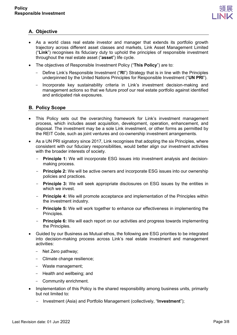

# <span id="page-2-0"></span>**A. Objective**

- As a world class real estate investor and manager that extends its portfolio growth trajectory across different asset classes and markets, Link Asset Management Limited ("**Link**") recognises its fiduciary duty to uphold the principles of responsible investment throughout the real estate asset ("**asset**") life cycle.
- The objectives of Responsible Investment Policy ("**This Policy**") are to:
	- Define Link's Responsible Investment ("**RI**") Strategy that is in line with the Principles underpinned by the United Nations Principles for Responsible Investment ("**UN PRI**").
	- Incorporate key sustainability criteria in Link's investment decision-making and management actions so that we future proof our real estate portfolio against identified and anticipated risk exposures.

## <span id="page-2-1"></span>**B. Policy Scope**

- This Policy sets out the overarching framework for Link's investment management process, which includes asset acquisition, development, operation, enhancement, and disposal. The investment may be a sole Link investment, or other forms as permitted by the REIT Code, such as joint ventures and co-ownership investment arrangements.
- As a UN PRI signatory since 2017, Link recognises that adopting the six Principles, where consistent with our fiduciary responsibilities, would better align our investment activities with the broader interests of society.
	- **Principle 1:** We will incorporate ESG issues into investment analysis and decisionmaking process.
	- **Principle 2:** We will be active owners and incorporate ESG issues into our ownership policies and practices.
	- **Principle 3:** We will seek appropriate disclosures on ESG issues by the entities in which we invest.
	- **Principle 4:** We will promote acceptance and implementation of the Principles within the investment industry.
	- **Principle 5:** We will work together to enhance our effectiveness in implementing the Principles.
	- **Principle 6:** We will each report on our activities and progress towards implementing the Principles.
- Guided by our Business as Mutual ethos, the following are ESG priorities to be integrated into decision-making process across Link's real estate investment and management activities:
	- Net Zero pathway;
	- Climate change resilience;
	- Waste management;
	- Health and wellbeing; and
	- Community enrichment.
- Implementation of this Policy is the shared responsibility among business units, primarily but not limited to:
	- Investment (Asia) and Portfolio Management (collectively, "**Investment**");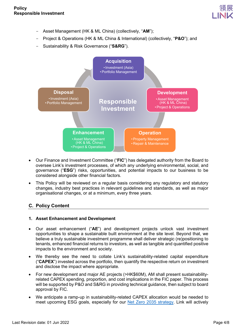

- Asset Management (HK & ML China) (collectively, "**AM**");
- Project & Operations (HK & ML China & International) (collectively, "**P&O**"); and
- Sustainability & Risk Governance ("**S&RG**").



- Our Finance and Investment Committee ("**FIC**") has delegated authority from the Board to oversee Link's investment processes, of which any underlying environmental, social, and governance ("**ESG**") risks, opportunities, and potential impacts to our business to be considered alongside other financial factors.
- This Policy will be reviewed on a regular basis considering any regulatory and statutory changes, industry best practices in relevant guidelines and standards, as well as major organisational changes, or at a minimum, every three years.

### <span id="page-3-0"></span>**C. Policy Content**

#### <span id="page-3-1"></span>**1. Asset Enhancement and Development**

- Our asset enhancement ("**AE**") and development projects unlock vast investment opportunities to shape a sustainable built environment at the site level. Beyond that, we believe a truly sustainable investment programme shall deliver strategic (re)positioning to tenants, enhanced financial returns to investors, as well as tangible and quantified positive impacts to the environment and society.
- We thereby see the need to collate Link's sustainability-related capital expenditure ("**CAPEX**") invested across the portfolio, then quantify the respective return on investment and disclose the impact where appropriate.
- For new development and major AE projects (>HK\$60M), AM shall present sustainabilityrelated CAPEX spending, proportion, and cost implications in the FIC paper. This process will be supported by P&O and S&RG in providing technical guidance, then subject to board approval by FIC.
- We anticipate a ramp-up in sustainability-related CAPEX allocation would be needed to meet upcoming ESG goals, especially for our [Net Zero 2035 strategy.](https://www.linkreit.com/en/sustainability/net-zero-strategy/) Link will actively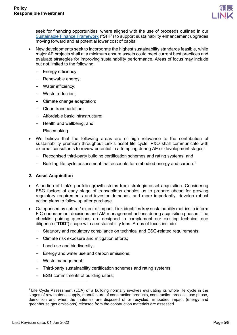

seek for financing opportunities, where aligned with the use of proceeds outlined in our [Sustainable Finance Framework](https://www.linkreit.com/-/media/corporate-website/sustainability/green-finance/link-sf-framework_web_final.pdf) ("**SFF**") to support sustainability enhancement upgrades moving forward and at potential lower cost of capital.

- New developments seek to incorporate the highest sustainability standards feasible, while major AE projects shall at a minimum ensure assets could meet current best practices and evaluate strategies for improving sustainability performance. Areas of focus may include but not limited to the following:
	- Energy efficiency;
	- Renewable energy;
	- Water efficiency;
	- Waste reduction;
	- Climate change adaptation;
	- Clean transportation;
	- Affordable basic infrastructure;
	- Health and wellbeing; and
	- Placemaking.
- We believe that the following areas are of high relevance to the contribution of sustainability premium throughout Link's asset life cycle. P&O shall communicate with external consultants to review potential in attempting during AE or development stages:
	- Recognised third-party building certification schemes and rating systems; and
	- Building life cycle assessment that accounts for embodied energy and carbon.<sup>[1](#page-4-1)</sup>

#### <span id="page-4-0"></span>**2. Asset Acquisition**

- A portion of Link's portfolio growth stems from strategic asset acquisition. Considering ESG factors at early stage of transactions enables us to prepare ahead for growing regulatory requirements and investor demands, and more importantly, develop robust action plans to follow up after purchase.
- Categorised by nature / extent of impact, Link identifies key sustainability metrics to inform FIC endorsement decisions and AM management actions during acquisition phases. The checklist guiding questions are designed to complement our existing technical due diligence ("**TDD**") scope with a sustainability lens. Areas of focus include:
	- Statutory and regulatory compliance on technical and ESG-related requirements;
	- Climate risk exposure and mitigation efforts;
	- Land use and biodiversity;
	- Energy and water use and carbon emissions;
	- Waste management;
	- Third-party sustainability certification schemes and rating systems;
	- ESG commitments of building users;

<span id="page-4-1"></span><sup>1</sup> Life Cycle Assessment (LCA) of a building normally involves evaluating its whole life cycle in the stages of raw material supply, manufacture of construction products, construction process, use phase, demolition and when the materials are disposed of or recycled. Embodied impact (energy and greenhouse gas emissions) released from the construction materials are assessed.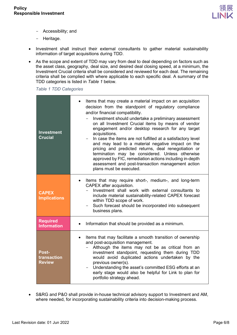

- Accessibility; and
- Heritage.
- Investment shall instruct their external consultants to gather material sustainability information of target acquisitions during TDD.
- As the scope and extent of TDD may vary from deal to deal depending on factors such as the asset class, geography, deal size, and desired deal closing speed, at a minimum, the Investment Crucial criteria shall be considered and reviewed for each deal. The remaining criteria shall be complied with where applicable to each specific deal. A summary of the TDD categories is listed in *Table 1* below.

*Table 1 TDD Categories*

| <b>Investment</b><br><b>Crucial</b>          | Items that may create a material impact on an acquisition<br>٠<br>decision from the standpoint of regulatory compliance<br>and/or financial compatibility.<br>Investment should undertake a preliminary assessment<br>on all Investment Crucial items by means of vendor<br>engagement and/or desktop research for any target<br>acquisitions.<br>In case the items are not fulfilled at a satisfactory level<br>and may lead to a material negative impact on the<br>pricing and predicted returns, deal renegotiation or<br>termination may be considered. Unless otherwise<br>approved by FIC, remediation actions including in-depth<br>assessment and post-transaction management action<br>plans must be executed. |
|----------------------------------------------|--------------------------------------------------------------------------------------------------------------------------------------------------------------------------------------------------------------------------------------------------------------------------------------------------------------------------------------------------------------------------------------------------------------------------------------------------------------------------------------------------------------------------------------------------------------------------------------------------------------------------------------------------------------------------------------------------------------------------|
| <b>CAPEX</b><br><b>Implications</b>          | Items that may require short-, medium-, and long-term<br>CAPEX after acquisition.<br>Investment shall work with external consultants to<br>include material sustainability-related CAPEX forecast<br>within TDD scope of work.<br>Such forecast should be incorporated into subsequent<br>business plans.                                                                                                                                                                                                                                                                                                                                                                                                                |
| <b>Required</b><br><b>Information</b>        | Information that should be provided as a minimum.                                                                                                                                                                                                                                                                                                                                                                                                                                                                                                                                                                                                                                                                        |
| <b>Post-</b><br>transaction<br><b>Review</b> | Items that may facilitate a smooth transition of ownership<br>٠<br>and post-acquisition management.<br>Although the items may not be as critical from an<br>investment standpoint, requesting them during TDD<br>would avoid duplicated actions undertaken by the<br>previous owner(s).<br>Understanding the asset's committed ESG efforts at an<br>early stage would also be helpful for Link to plan for<br>portfolio strategy ahead.                                                                                                                                                                                                                                                                                  |

• S&RG and P&O shall provide in-house technical advisory support to Investment and AM, where needed, for incorporating sustainability criteria into decision-making process.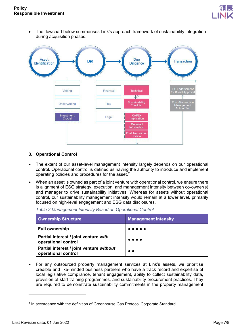

• The flowchart below summarises Link's approach framework of sustainability integration during acquisition phases.



### <span id="page-6-0"></span>**3. Operational Control**

- The extent of our asset-level management intensity largely depends on our operational control. Operational control is defined as having the authority to introduce and implement operating policies and procedures for the asset.<sup>[2](#page-6-1)</sup>
- When an asset is owned as part of a joint venture with operational control, we ensure there is alignment of ESG strategy, execution, and management intensity between co-owner(s) and manager to drive sustainability initiatives. Whereas for assets without operational control, our sustainability management intensity would remain at a lower level, primarily focused on high-level engagement and ESG data disclosures.

*Table 2 Management Intensity Based on Operational Control*

| Ownership Structure                                             | <b>Management Intensity</b>                                                                     |
|-----------------------------------------------------------------|-------------------------------------------------------------------------------------------------|
| <b>Full ownership</b>                                           | .                                                                                               |
| Partial interest / joint venture with<br>operational control    | $\bullet\hspace{0.1cm} \bullet\hspace{0.1cm}\bullet\hspace{0.1cm}\bullet\hspace{0.1cm} \bullet$ |
| Partial interest / joint venture without<br>operational control | $\bullet\bullet$                                                                                |

• For any outsourced property management services at Link's assets, we prioritise credible and like-minded business partners who have a track record and expertise of local legislative compliance, tenant engagement, ability to collect sustainability data, provision of staff training programmes, and sustainability procurement practices. They are required to demonstrate sustainability commitments in the property management

<span id="page-6-1"></span><sup>2</sup> In accordance with the definition of Greenhouse Gas Protocol Corporate Standard.